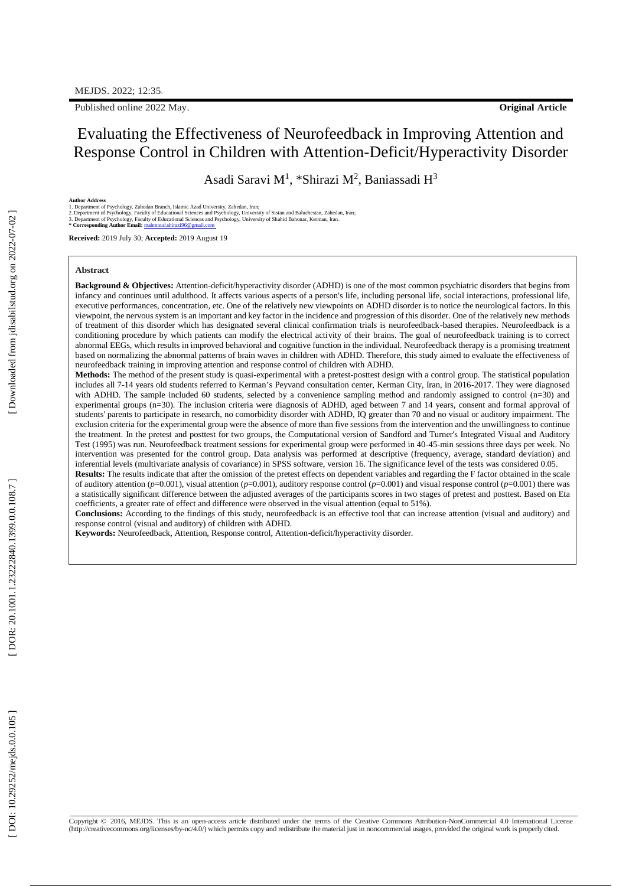Published online 202 2 May .

## Evaluating the Effectiveness of Neurofeedback in Improving Attention and Response Control in Children with Attention -Deficit/Hyperactivity Disorder

Asadi Saravi M<sup>1</sup>, \*Shirazi M<sup>2</sup>, Baniassadi H<sup>3</sup>

**Author Address**<br>1. Department of Psychology, Zahedan Branch, Islamic Azad University, Zahedan, Iran;<br>2. Department of Psychology, Faculty of Educational Sciences and Psychology, University of Sistan and Baluchestan, Zahed

**Received:** 2019 July 30; **Accepted:** 2019 August 19

#### **Abstract**

Background & Objectives: Attention-deficit/hyperactivity disorder (ADHD) is one of the most common psychiatric disorders that begins from infancy and continues until adulthood. It affects various aspects of a person's life, including personal life, social interactions, professional life, executive performances, concentration, etc. One of the relatively new viewpoints on ADHD disorder is to notice the neurological factors. In this viewpoint, the nervous system is an important and key factor in the incidence and progression of this disorder. One of the relatively new methods of treatment of this disorder which has designated several clinical confirmation trials is neurofeedback -based therapies. Neurofeedback is a conditioning procedure by which patients can modify the electrical activity of their brains. The goal of neurofeedback training is to correct abnormal EEGs, which results in improved behavioral and cognitive function in the individual. Neurofeedback therapy is a promising treatment based on normalizing the abnormal patterns of brain waves in children with ADHD. Therefore, this study aimed to evaluate the effectiveness of neurofeedback training in improving attention and response control of children with ADHD.

Methods: The method of the present study is quasi-experimental with a pretest-posttest design with a control group. The statistical population includes all 7 -14 years old students referred to Kerman's Peyvand consultation center, Kerman City, Iran, in 2016 -2017. They were diagnosed with ADHD. The sample included 60 students, selected by a convenience sampling method and randomly assigned to control (n=30) and experimental groups (n=30). The inclusion criteria were diagnosis of ADHD, aged between 7 and 14 years, consent and formal approval of students' parents to participate in research, no comorbidity disorder with ADHD, IQ greater than 70 and no visual or auditory impairment. The exclusion criteria for the experimental group were the absence of more than five sessions from the intervention and the unwillingness to continue the treatment. In the pretest and posttest for two groups, the Computational version of Sandford and Turner's Integrated Visual and Auditory Test (1995) was run. Neurofeedback treatment sessions for experimental group were performed in 40 -45 -min sessions three days per week. No intervention was presented for the control group. Data analysis was performed at descriptive (frequency, average, standard deviation) and inferential levels (multivariate analysis of covariance) in SPSS software, version 16. The significance level of the tests was considered 0.05. **Results:** The results indicate that after the omission of the pretest effects on dependent variables and regarding the F factor obtained in the scale

of auditory attention ( $p=0.001$ ), visual attention ( $p=0.001$ ), auditory response control ( $p=0.001$ ) and visual response control ( $p=0.001$ ) there was a statistically significant difference between the adjusted averages of the participants scores in two stages of pretest and posttest. Based on Eta coefficients, a greater rate of effect and difference were observed in the visual attention (equal to 51%).

**Conclusions:** According to the findings of this study, neurofeedback is an effective tool that can increase attention (visual and auditory) and response control (visual and auditory) of children with ADHD.

**Keywords:** Neurofeedback, Attention, Response control, Attention -deficit/hyperactivity disorder.

Downloaded from jdisabilstud.org on 2022-07-02

Copyright © 2016, MEJDS. This is an open-access article distributed under the terms of the Creative Commons Attribution-NonCommercial 4.0 International License [\(http://creativecommons.org/licenses/by-nc/4.0/\)](http://creativecommons.org/licenses/by-nc/4.0/\)) which permits copy and redistribute the material just in noncommercial usages, provided the original work is properlycited.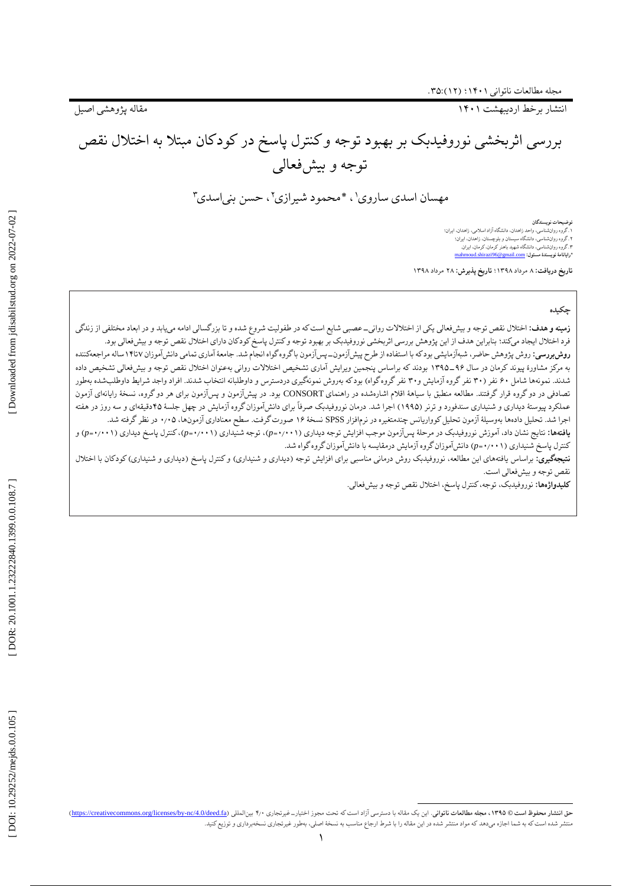انتشار برخط اردیبهشت ۱۴۰۱

مقاله پژوهشی اصیل

# بررسی اثربخشی نوروفیدبک بر بهبود توجه و کنترل پاسخ در کودکان مبتال به اختالل نقص توجه و بیشفعالی

مهسان اسدي ساروي' ، \*محمود شيرازي' ، حسن بنياسدي"

**توضیحات نویسندگان** . گروه روانشناسی، واحد زاهدان، دانشگاه آزاد اسالمی، زاهدان، ایران؛ ۱.کووه روانشناسی، واحد زاهدان، دانشگاه ازاد اسلامی، زاهدان.<br>۲.گروه روانشناسی، دانشگاه سیستان و بلوچستان، زاهدان، ایران:<br>**\*رایانامهٔ نویسندهٔ مسئول: <u>[mahmoud.shirazi96](mailto:mahmoud.shirazi96@gmail.com)@gmail.com</u>** 

مرداد 1۳۹۸؛ **تاریخ پذیرش:** ۲۸ مرداد 1۳۹۸ **تاریخ دریافت:** ۸

## **چکیده**

ز**مینه و هدف:** اختلال نقص توجه و بیشفعالی یکی از اختلالات روانی-عصبی شایع است که در طفولیت شروع شده و تا بزرگسالی ادامه میابد و در ابعاد مختلفی از زندگی فرد اختلال ایجاد میکند؛ بنابراین هدف از این پژوهش بررسی اثربخشی نوروفیدبک بر بهبود توجه و کنترل پاسخ کودکان دارای اختلال نقص توجه و بیشفعالی بود. **روش بررسی:** روش چاژموش حاضر، شبهازمایشی بودکه با استفاده از طرح پیشازمون با گروه گواه انجام شد. جامعهٔ اماری تمامی دانش اموزان ۱۴تا۱۴ ساله مراجعهکننده به مرکز مشاورهٔ پیوند کرمان در سال ۹۶–۱۳۹۵ بودند که براساس پنجمین ویرایش اماری تشخیص اختلالات روانی بهعنوان اختلال نقص توجه و بیشفعالی تشخیص داده شدند. نمونهها شامل ۶۰ نفر (۳۰ نفر گروه آزمایش و۳۰ نفر گروه گواه بهروش نمونهگیری دردسترس و داوطلبانه انتخاب شدند. افراد واجد شرایط داوطلبشده بهطور تصادفی در دوگروه قرار گرفتند. مطالعه منطبق با سیاههٔ اقلام اشارهشده در اینتشآزمون و پسآزمون و پسآزمون برای هر دوگروه، نسخهٔ رایانهای آزمون عملکرد پیوستهٔ دیداری و شنیداری سندفورد و ترنر (۱۹۹۵) اجرا شد. درمان نوروفیدبک صرفا برای دانشاموزان گروه ازمایش در چهل جلسهٔ ۴۵دقیقهای و سه روز در هفته اجرا شد. تحلیل دادهها بهوسیلهٔ آزمون تحلیل کوواریانس چندمتغیره در نرمافزار SPSS نسخهٔ ۱۶ صورت گرفت. سطح معناداری آزمونها، ۰٫۰۵ در نظر گرفته شد.

**یافتهها:** نتایج نشان داد، آموزش نوروفیدبک در مرحلهٔ پسآزمون موجب افزایش توجه دیداری (p=۰٬۰۰۱)، توجه شنیداری (p=۰٬۰۰۱) و ) و کنترل پاسخ شنیداری (p=٠/٠٠۱) دانشآموزان گروه آزمایش درمقایسه با دانشآموزان گروه گواه شد.

**نتیجهگیری:** براساس یافتههای این مطالعه، نوروفیدبک روش درمانی مناسبی برای افزایش توجه (دیداری) و کنترل پاسخ (دیداری و شنیداری) کودکان با اختلال نقص توجه و بیشفعالی است.

**کلیدواژهها:** نوروفیدبک، توجه، کنترل پاسخ، اختلال نقص توجه و بیشفعالی.

حق انتشار محفوظ است @ ۱۳۹۵، مجله مطالعات ناتواني. اين يک مقاله با دسترسي آزاد است که تحت مجوز اختيار\_ غيرتجاري ۲٫۰ بينالمللي ([https://creativecommons.org/licenses/by](https://creativecommons.org/licenses/by-nc/4.0/deed.fa)-nc/4.0/deed.fa) ، الجن لمقاله (https://creativecommons. منتشر شده است که به شما اجازه میدهد که مواد منتشر شده در این مقاله را با شرط ارجاع مناسب به نسخهٔ اصلی، بهطور غیرتجاری نسخهبرداری و توزیع کنید.

 $\overline{a}$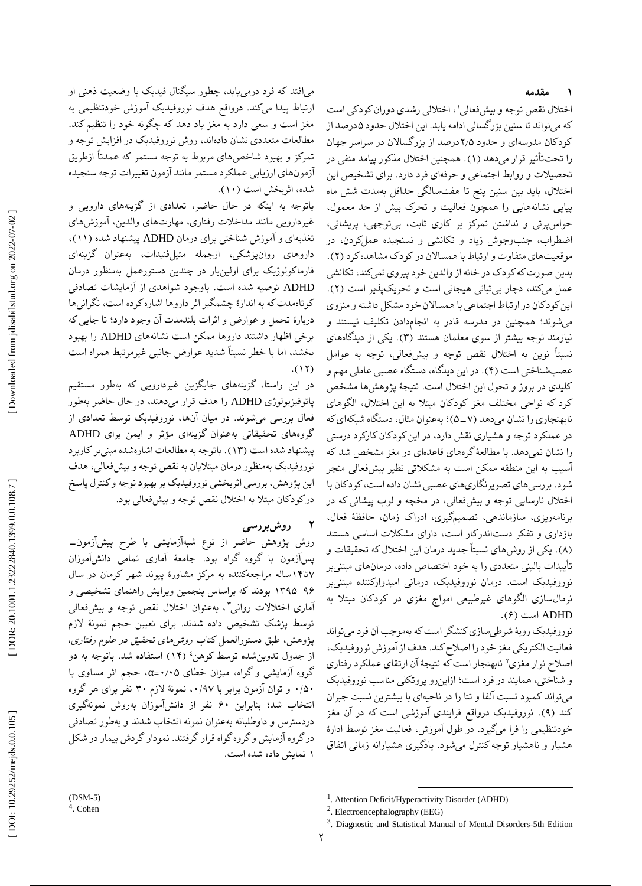#### **مقدمه ۱**

اختلال نقص توجه و بیشفعالی'، اختلالی رشدی دوران کودکی است که میتواند تا سنین بزرگسالی ادامه یابد. این اختلال حدود ۵درصد از کودکان مدرسهای و حدود ۲٫۵درصد از بزرگسالان در سراسر جهان را تحتتاثیر قرار میدهد (۱). همچنین اختلال مذکور پیامد منفی در تحصیلات و روابط اجتماعی و حرفهای فرد دارد. برای تشخیص این اختالل، باید بین سنین پنج تا هفتسالگی حداقل بهمدت شش ماه پیاپی نشانههایی را همچون فعالیت و تحرک بیش از حد معمول، حواسپرتی و نداشتن تمرکز بر کاری ثابت، بیتوجهی، پریشانی، اضطراب، جنبوجوش زیاد و تکانشی و نسنجیده عملکردن، در موقعیتهای متفاوت و ارتباط با همسالان در کودک مشاهده کرد (۲). بدین صورت که کودک در خانه از والدین خود پیروی نمیکند، تکانشی عمل میکند، دچار بی ثباتی هیجانی است و تحریکپذیر است (۲). این کودکان در ارتباط اجتماعی با همساالن خود مشکل داشته و منزوی میشوند؛ همچنین در مدرسه قادر به انجامدادن تکلیف نیستند و نیازمند توجه بیشتر از سوی معلمان هستند (۳). یکی از دیدگاههای نسبتاً نوین به اختالل نقص توجه و بیشفعالی، توجه به عوامل عصبشناختی است (۴). در این دیدگاه، دستگاه عصبی عاملی مهم و کلیدی در بروز و تحول این اختالل است. نتیجٔه پژوهشها مشخص کرد که نواحی مختلف مغز کودکان مبتال به این اختالل، الگوهای نابهنجاری را نشان میدهد (۷ـ ۵)؛ بهعنوان مثال، دستگاه شبکهای که در عملکرد توجه و هشیاری نقش دارد، در این کودکان کارکرد درستی را نشان نمیدهد. با مطالعٔهگرههای قاعدهای در مغز مشخص شد که آسیب به این منطقه ممکن است به مشکالتی نظیر بیشفعالی منجر شود. بررسیهای تصویرنگاریهای عصبی نشان داده است، کودکان با اختالل نارسایی توجه و بیشفعالی، در مخچه و لوب پیشانی که در برنامهریزی، سازماندهی، تصمیمگیری، ادراک زمان، حافظهٔ فعال،<br>بازداری و تفکر دستاندرکار است، دارای مشکلات اساسی هستند . یکی از روشهای نسبتاً جدید درمان این اختالل که تحقیقات و ) ۸ ( تأییدات بالینی متعددی را به خود اختصاص داده، درمانهای مبتنیبر نوروفیدبک است. درمان نوروفیدبک، درمانی امیدوارکننده مبتنیبر نرمالسازی الگوهای غیرطبیعی امواج مغزی در کودکان مبتلا به<br>ADHD است (۶).

نوروفیدبک رویهٔ شرطیسازی کنشگر است که بهموجب آن فرد میتواند<br>فعالیت الکتریکی مغز خود را اصلاح کند. هدف از آموزش نوروفیدبک، اصلاح نوار مغزی ْ نابهنجار است که نتیجهٔ آن ارتقای عملکرد رفتاری و شناختی، همایند در فرد است؛ ازاینرو پروتکلی مناسب نوروفیدبک میتواند کمبود نسبت آلفا و تتا را در ناحیهای با بیشترین نسبت جبران کند (۹). نوروفیدبک درواقع فرایندی اموزشی است که در ان مغز خودتنظیمی را فرا میگیرد. در طول آموزش، فعالیت مغز توسط ادارٔه هشیار و ناهشیار توجه کنترل میشود. یادگیری هشیارانه زمانی اتفاق

میافتد که فرد درمییابد، چطور سیگنال فیدبک با وضعیت ذهنی او ارتباط پیدا میکند. درواقع هدف نوروفیدبک آموزش خودتنظیمی به مغز است و سعی دارد به مغز یاد دهد که چگونه خود را تنظیم کند. مطالعات متعددی نشان دادهاند، روش نوروفیدبک در افزایش توجه و تمرکز و بهبود شاخصهای مربوط به توجه مستمر که عمدتاً ازطریق آزمونهای ارزیابی عملکرد مستمر مانند آزمون تغییرات توجه سنجیده<br>شده، اثربخش است (۱۰).

باتوجه به اینکه در حال حاضر، تعدادی از گزینههای دارویی و غیردارویی مانند مداخلات رفتاری، مهارتهای والدین، آموزشهای<br>تغذیهای و آموزش شناختی برای درمان ADHD پیشنهاد شده (۱۱)، داروهای روانپزشکی، ازجمله متیلفنیدات، بهعنوان گزینهای فارماکولوژیک برای اولینبار در چندین دستورعمل بهمنظور درمان ADHD توصیه شده است. باوجود شواهدی از آزمایشات تصادفی کوتاهمدت که به اندازٔه چشمگیر اثر داروها اشاره کرده است، نگرانیها دربارهٔ تحمل و عوارض و اثرات بلندمدت ان وجود دارد؛ تا جایی که برخی اظهار داشتند داروها ممکن است نشانههای ADHD را بهبود بخشد، اما با خطر نسبتاً شدید عوارض جانبی غیرمرتبط همراه است<br>(۱۲).

در این راستا، گزینههای جایگزین غیردارویی که بهطور مستقیم پاتوفیزیولوژی ADHD را هدف قرار میدهند، در حال حاضر بهطور فعال بررسی میشوند. در میان آنها، نوروفیدبک توسط تعدادی از گروههای تحقیقاتی بهعنوان گزینهای مؤثر و ایمن برای ADHD پیشنهاد شده است (۱۳). باتوجه به مطالعات اشارهشده مبنیبر کاربرد نوروفیدبک بهمنظور درمان مبتلایان به نقص توجه و بیشفعالی، هدف این پژوهش، بررسی اثربخشی نوروفیدبک بر بهبود توجه و کنترل پاسخ در کودکان مبتلا به اختلال نقص توجه و بیشفعالی بود.

#### **روشبررسی 2**

روش پژوهش حاضر از نوع شبهآزمایشی با طرح پیشآزمون- پسآزمون با گروه گواه بود. جامعٔه آماری تمامی دانشآموزان تا1۴ساله مراجعهکننده به مرکز مشاورٔه پیوند شهر کرمان در سال ۷ ۹۶–۱۳۹۵ بودند که براساس پنجمین ویرایش راهنمای تشخیصی و آماری اختلالات روان<sub>ی</sub>۳، بهعنوان اختلال نقص توجه و بیشفعالی توسط پزشک تشخیص داده شدند. برای تعیین حجم نمونهٔ لازم<br>پژوهش، طبق دستورالعمل کتاب *روشهای تحقیق در علوم رفتاری*، از جدول تدوینِشده توسط کوهن<sup>؛</sup> (۱۴) استفاده شد. باتوجه به دو گروه آزمایشی و گواه، میزان خطای ۵+⁄۰+=α، حجم اثر مساوی با ۰/۵۰ و توان آزمون برابر با ۰/۹۷، نمونهٔ لازم ۳۰ نفر برای هر گروه انتخاب شد؛ بنابراین ۶۰ نفر از دانش|موزان بهروش نمونهگیری دردسترس و داوطلبانه بهعنوان نمونه انتخاب شدند و بهطور تصادفی درگروه آزمایش و گروه گواه قرار گرفتند. نمودار گردش بیمار در شکل نمایش داده شده است. 1

<sup>(</sup>DSM -5)

<sup>4</sup> . Cohen

 $\overline{a}$ <sup>1</sup>. Attention Deficit/Hyperactivity Disorder (ADHD)

<sup>&</sup>lt;sup>2</sup>. Electroencephalography (EEG)

<sup>&</sup>lt;sup>3</sup>. Diagnostic and Statistical Manual of Mental Disorders-5th Edition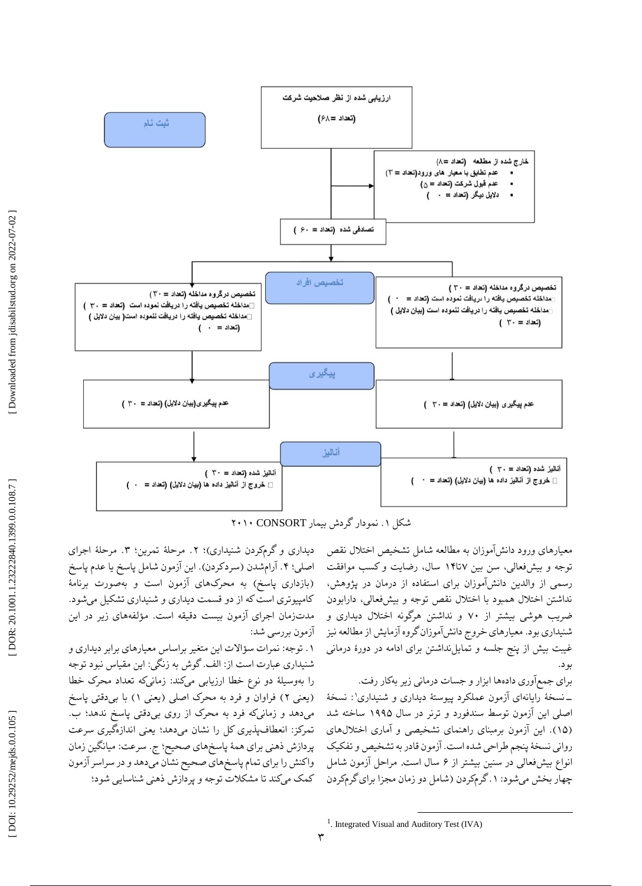

. نمودار گردش بیمار CONSORT ۲۰1۰ شکل 1

معیارهای ورود دانشآموزان به مطالعه شامل تشخیص اختالل نقص توجه و بیشفعالی، سن بین ۱۴تا۱۴ سال، رضایت و کسب موافقت رسمی از والدین دانشآموزان برای استفاده از درمان در پژوهش، نداشتن اختالل همبود با اختالل نقص توجه و بیشفعالی، دارابودن ضریب هوشی بیشتر از ۷۰ و نداشتن هرگونه اختالل دیداری و شنیداری بود. معیارهای خروج دانشآموزانگروه آزمایش از مطالعه نیز غیبت بیش از پنج جلسه و تمایلنداشتن برای ادامه در دورٔه درمانی بود.

برای جمعآوری دادهها ابزار و جسات درمانی زیر بهکار رفت. \_نسخهٔ رایانهای آزمون عملکرد پیوستهٔ دیداری و شنیداری': نسخهٔ اصلی این آزمون توسط سندفورد و ترنر در سال 1۹۹۵ ساخته شد (۱۵). این ازمون برمبنای راهنمای تشخیصی و اماری اختلالهای روانی نسخٔه پنجم طراحی شده است. آزمون قادر به تشخیص و تفکیک انواع بیشفعالی در سنین بیشتر از ۶ سال است. مراحل آزمون شامل چهار بخش میشود: ۱.گرمکردن (شامل دو زمان مجزا برای گرمکردن

دیداری و گرمکردن شنیداری)؛ ۲. مرحلهٔ تمرین؛ ۳. مرحلهٔ اجرای اصلی: ۴. ارامشدن (سردکردن). این ازمون شامل پاسخ یا عدم پاسخ )بازداری پاسخ( به محرکهای آزمون است و بهصورت برنامٔه کامپیوتری است که از دو قسمت دیداری و شنیداری تشکیل میشود. مدتزمان اجرای ازمون بیست دقیقه است. مؤلفههای زیر در این آزمون بررسی شد:

۱. توجه: نمرات سؤالات این متغیر براساس معیارهای برابر دیداری و شنیداری عبارت است از: الف. گوش به زنگی: این مقیاس نبود توجه را بهوسیلهٔ دو نوع خطا ارزیابی میکند: زمانیکه تعداد محرک خطا (یعنی ۲) فراوان و فرد به محرک اصلی (یعنی ۱) با بیٖدقتی پاسخ . ب میدهد و زمانیکه فرد به محرک از روی بیدقتی پاسخ ندهد؛ تمرکز: انعطافپذیری کل را نشان میدهد؛ یعنی اندازهگیری سرعت پردازش ذهنی برای همهٔ پاسخهای صحیح؛ ج. سرعت: میانگین زمان واکنش را برای تمام پاسخهای صحیح نشان میدهد و در سراسر آزمون<br>کمک میکند تا مشکلات توجه و بردازش ذهنی شناسایی شود؛

 $\overline{a}$ 

<sup>&</sup>lt;sup>1</sup>. Integrated Visual and Auditory Test (IVA)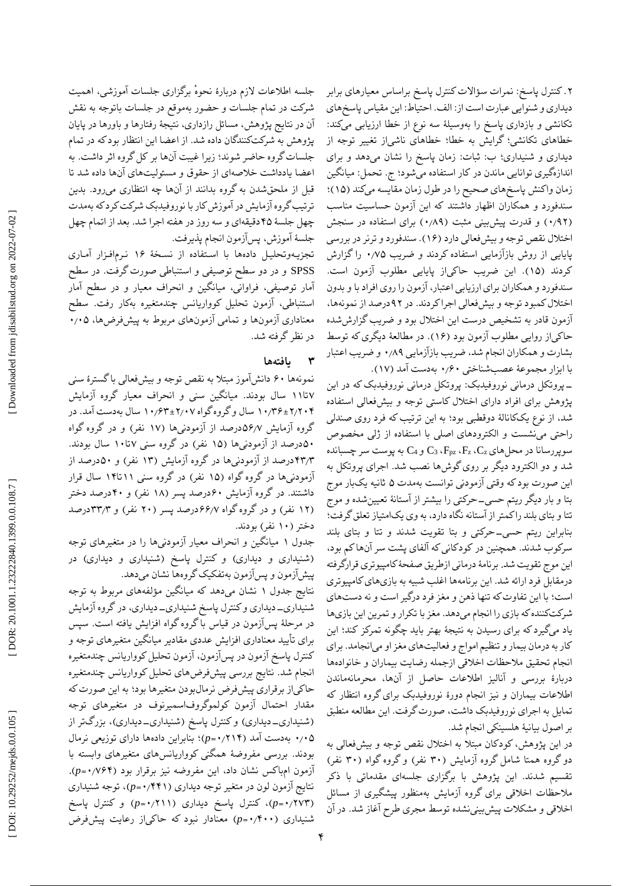جلسه اطالعات الزم دربارٔه ٔ نحوه برگزاری جلسات آموزشی، اهمیت شرکت در تمام جلسات و حضور بهموقع در جلسات باتوجه به نقش ان در نتایج پژوهش، مسائل رازداری، نتیجهٔ رفتارها و باورها در پایان پژوهش به شرکتکنندگان داده شد. از اعضا این انتظار بود که در تمام جلسات گروه حاضر شوند؛ زیرا غیبت انها بر کل گروه اثر داشت. به اعضا یادداشت خالصهای از حقوق و مسئولیتهای آنها داده شد تا قبل از ملحقشدن به گروه بدانند از آنها چه انتظاری میرود. بدین ترتیب گروه ازمایش در اموزش کار با نوروفیدبک شرکت کرد که بهمدت چهل جلسٔه ۴۵دقیقهای و سه روز در هفته اجرا شد. بعد از اتمام چهل جلسٔه آموزش، پسآزمون انجام پذیرفت.

تجزیـهوتحلیـل دادهها با اسـتفاده از نسـخٔه 1۶ نـرمافـزار آمـاری SPSS و در دو سطح توصیفی و استنباطی صورت گرفت. در سطح امار توصیفی، فراوانی، میانگین و انحراف معیار و در سطح امار استنباطی، ازمون تحلیل کوواریانس چندمتغیره بهکار رفت. سطح ۰ ٫۰۵ معناداری آزمونها و تمامی آزمونهای مربوط به پیشفرضها، در نظر گرفته شد.

#### **یافتهها ۳**

نمونهها ۶۰ دانشآموز مبتال به نقص توجه و بیشفعالی با گسترٔه سنی تا11 سال بودند. میانگین سنی و انحراف معیار گروه آزمایش ۷ 1۰ سال بهدست آمد. در ٫۶۳ ± ۲ 1۰ سال و گروه گواه ٫۰۷ ٫۳۶ ± ۲ ٫۲۰۴ گروه ازمایش ۵۶٫۷درصد از ازمودنیها (۱۷ نفر) و در گروه گواه تا1۰ سال بودند. ۵۰درصد از آزمودنیها )1۵ نفر( در گروه سنی ۷ ۴۳٫۳درصد از آزمودنیها در گروه ازمایش (۱۳ نفر) و ۵۰درصد از آزمودنیها در گروه گواه )1۵ نفر( در گروه سنی 11تا1۴ سال قرار داشتند. در گروه آزمایش ۶۰درصد پسر (۱۸ نفر) و ۴۰درصد دختر (۱۲ نفر) و در گروه گواه ۶۶/۷درصد پسر (۲۰ نفر) و ۳۳٫۳درصد دختر (۱۰ نفر) بودند.

میانگین و انحراف معیار آزمودنیها را در متغیرهای توجه جدول 1 (شنیداری و دیداری) و کنترل پاسخ (شنیداری و دیداری) در پیشآزمون و پسآزمون بهتفکیک گروهها نشان میدهد.

نتایج جدول ۱ نشان میدهد که میانگین مؤلفههای مربوط به توجه شنیداری\_دیداری و کنترل پاسخ شنیداری\_دیداری، در گروه ازمایش در مرحلٔه پسآزمون در قیاس با گروه گواه افزایش یافته است. سپس یید معناداری افزایش عددی مقادیر میانگین متغیرهای توجه و برای تأ کنترل پاسخ ازمون در پس|زمون، ازمون تحلیل کوواریانس چندمتغیره انجام شد. نتایج بررسی پیشفرضهای تحلیل کوواریانس چندمتغیره حاکیاز برقراری پیشفرض نرمالبودن متغیرها بود؛ به این صورت که مقدار احتمال آزمون کولموگروفاسمیرنوف در متغیرهای توجه (شنیداری\_دیداری) و کنترل پاسخ (شنیداری\_دیداری)، بزرگتر از بنابراین دادهها دارای توزیعی نرمال ؛ )*p* = ۰ ٫۲1۴ بهدست آمد ) ۰ ٫۰۵ بودند. بررسی مفروضهٔ همگنی کوواریانسهای متغیرهای وابسته با آزمون امهاکس نشان داد، این مفروضه نیز برقرار بود (۰/۷۶۴). *p*)، توجه شنیداری = ۰ نتایج آزمون لون در متغیر توجه دیداری )٫۴۴1 *p* )و کنترل پاسخ = ۰ کنترل پاسخ دیداری )٫۲11 ، )*p* = ۰ ٫۲۷۳ ( شنیداری (۴۰۰/°-p) معنادار نبود که حاک<sub>ی</sub>از رعایت پیشفرض ۲. کنترل پاسخ: نمرات سؤالات کنترل پاسخ براساس معیارهای برابر دیداری و شنوایی عبارت است از: الف. احتیاط: این مقیاس پاسخهای تکانشی و بازداری پاسخ را بهوسیلٔه سه نوع از خطا ارزیابی میکند: خطاهای تکانشی؛ گرایش به خطا؛ خطاهای ناشی[ز تغییر توجه از دیداری و شنیداری؛ ب: ثبات: زمان پاسخ را نشان میدهد و برای اندازهگیری توانایی ماندن در کار استفاده میشود؛ ج. تحمل: میانگین زمان واکنش پاسخهای صحیح را در طول زمان مقایسه میکند (۱۵)؛ سندفورد و همکاران اظهار داشتند که این آزمون حساسیت مناسب (۰٬۹۲) و قدرت پیشبینی مثبت (۰٬۸۹) برای استفاده در سنجش اختلال نقص توجه و بیشفعالی دارد (۱۶). سندفورد و ترنر در بررسی پایایی از روش بازازمایی استفاده کردند و ضریب ۰٫۷۵ را گزارش کردند (۱۵). این ضریب حاکیاز پایایی مطلوب ازمون است. سندفورد و همکاران برای ارزیابی اعتبار، آزمون را روی افراد با و بدون اختالل کمبود توجه و بیشفعالی اجرا کردند. در ۹۲درصد از نمونهها، آزمون قادر به تشخیص درست این اختالل بود و ضریب گزارششده حاکی|ز روایی مطلوب ازمون بود (۱۶). در مطالعهٔ دیگری که توسط بشارت و همکاران انجام شد، ضریب بازازمایی ۰٬۸۹ و ضریب اعتبار با ابزار مجموعهٔ عصبشناختی ۰٫۶۰ بهدست امد (۱۷).

پروتکل درمانی نوروفیدبک: پروتکل درمانی نوروفیدبک که در این - پژوهش برای افراد دارای اختالل کاستی توجه و بیشفعالی استفاده شد، از نوع یککانالٔه دوقطبی بود؛ به این ترتیب که فرد روی صندلی راحتی مینشست و الکترودهای اصلی با استفاده از ژلی مخصوص به پوست سر چسبانده C 4 و C 3 ، Fpz ، F z ، C سوپررسانا در محلهای <sup>z</sup> شد و دو الکترود دیگر بر روی گوشها نصب شد. اجرای پروتکل به این صورت بودکه وقتی ازمودنی توانست بهمدت ۵ ثانیه یکبار موج بتا و بار دیگر ریتم حسی\_حرکتی را بیشتر از استانهٔ تعیینشده و موج تتا و بتای بلند راکمتر از استانه نگاه دارد، به وی یکامتیاز تعلق گرفت؛ بنابراین ریتم حسی\_حرکتی و بتا تقویت شدند و تتا و بتای بلند سرکوب شدند. همچنین در کودکانی که آلفای پشت سر آنها کم بود، این موج تقویت شد. برنامهٔ درمانی ازطریق صفحهٔ کامپیوتری قرارگرفته درمقابل فرد ارائه شد. این برنامهها اغلب شبیه به بازیهای کامپیوتری است؛ با این تفاوت که تنها ذهن و مغز فرد درگیر است و نه دستهای شرکتکننده که بازی را انجام میدهد. مغز با تکرار و تمرین این بازیها یاد میگیرد که برای رسیدن به نتیجهٔ بهتر باید چگونه تمرکز کند؛ این کار به درمان بیمار و تنظیم امواج و فعالیتهای مغز او میانجامد. برای انجام تحقیق مالحظات اخالقی ازجمله رضایت بیماران و خانوادهها دربارٔه بررسی و آنالیز اطالعات حاصل از آنها، محرمانهماندن اطالعات بیماران و نیز انجام دورٔه نوروفیدبک برای گروه انتظار که تمایل به اجرای نوروفیدبک داشت، صورت گرفت. این مطالعه منطبق بر اصول بیانیٔه هلسینکی انجام شد.

در این پژوهش، کودکان مبتال به اختالل نقص توجه و بیشفعالی به دو گروه همتا شامل گروه آزمایش )۳۰ نفر( و گروه گواه )۳۰ نفر( تقسیم شدند. این پژوهش با برگزاری جلسهای مقدماتی با ذکر مالحظات اخالقی برای گروه آزمایش بهمنظور پیشگیری از مسائل اخلاقی و مشکلات پیش بینینشده توسط مجری طرح اغاز شد. در ان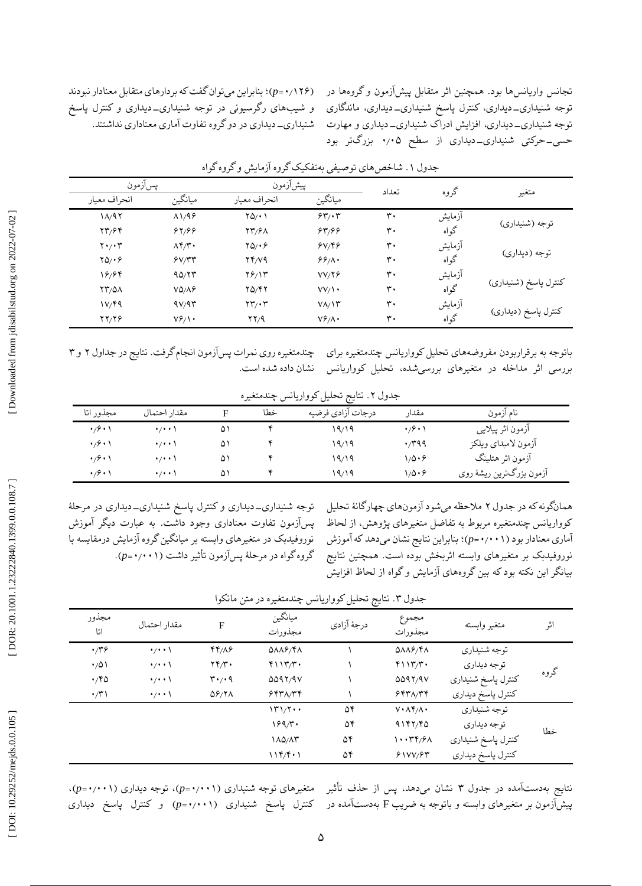تجانس واریانسها بود. همچنین اثر متقابل پیشآزمون و گروهها در توجه شنیداری\_دیداری، کنترل پاسخ شنیداری\_دیداری، ماندگاری توجه شنیداری\_دیداری، افزایش ادراک شنیداری\_دیداری و مهارت حسی\_حرکتی شنیداری\_دیداری از سطح ۰٫۰۵ بزرگتر بود

| پسآزمون                                        |                | پیشآزمون                                   |                 | تعداد             | گروه   |                      |  |
|------------------------------------------------|----------------|--------------------------------------------|-----------------|-------------------|--------|----------------------|--|
| انحراف معيار                                   | ميانگين        | انحراف معيار                               | ميانگين         |                   |        | متغير                |  |
| $1/\sqrt{97}$                                  | $\Lambda$ 1/98 | YQ/Y                                       | 55.7            | $\mathsf{r}\cdot$ | آزمايش |                      |  |
| 27/64                                          | 84/99          | <b>TT/91</b>                               | 84/99           | $\mathsf{r}\cdot$ | گواه   | توجه (شنيداري)       |  |
| $\mathbf{Y} \cdot \mathbf{y} \cdot \mathbf{y}$ | $\Lambda$ ۴/۳. | $YQ/\cdot 9$                               | 8V/F9           | $\mathbf{r}$ .    | آزمايش |                      |  |
| $YQ/\cdot 9$                                   | Y/Y/Y          | YY/YQ                                      | 99/1            | ٣٠                | گواه   | توجه (ديداري)        |  |
| ۱۶/۶۴                                          | 90/77          | $Y$ ۶/۱۳                                   | VV/Y            | $\mathbf{r}$ .    | آزمايش |                      |  |
| <b>YY/01</b>                                   | $VQ/\Lambda$ ۶ | 70/47                                      | $VV/\cdot$      | $\mathsf{r}\cdot$ | گواه   | كنترل پاسخ (شنيداري) |  |
| 1V/F9                                          | 9V/9T          | $\mathbf{Y} \mathbf{Y} / \cdot \mathbf{Y}$ | $V/\Upsilon$    | $\mathsf{r}\cdot$ | آزمايش |                      |  |
| YY/Y                                           | $V_f$          | YY/A                                       | $V_f^2/\Lambda$ | ٣٠                | گواه   | كنترل پاسخ (ديداري)  |  |

جدول ۱. شاخص،های توصیفی بهتفکیک گروه ازمایش و گروه گواه

باتوجه به برقراربودن مفروضههای تحلیل کوواریانس چندمتغیره برای ک چندمتغیره روی نمرات پس|زمون انجام گرفت. نتایج در جداول ۲ و ۳ بررسی اثر مداخله در متغیرهای بررسیشده، تحلیل کوواریانس

تحلیل کوواریانس خشان داده شده است.<br>جدول ۲. نتایج تحلیل کوواریانس چندمتغیره

| مجذور اتا                         | مقدار احتمال        |    | خطا | درجات آزادي فرضيه | مقدار                                   | نام آزمون                |
|-----------------------------------|---------------------|----|-----|-------------------|-----------------------------------------|--------------------------|
| $\cdot$ /9 $\cdot$ )              | $\cdot$ / $\cdot$ \ | ۵۱ |     | ۱۹/۱۹             | $\cdot$ / $\hat{y}$ $\cdot$ $\setminus$ | آزمون اثر پیلایی         |
| $\cdot$ / $\cdot$ $\cdot$ $\cdot$ | $\cdots$            | ۵۱ |     | ۱۹٬۱۹             | ۰٬۳۹۹                                   | آزمون لامبداي ويلكز      |
| $\cdot$ / $\cdot$ $\cdot$ $\cdot$ | $\cdots$            | ۵۱ |     | ۱۹/۱۹             | ۱٬۵۰۶                                   | آزمون اثر هتلینگ         |
| $\cdot$ /9 $\cdot$ )              | $\cdot$ / $\cdot$ \ | ۵۱ |     | ۱۹٬۱۹             | ۱۱۵۰۶                                   | آزمون بزرگترين ريشهٔ روي |

همانگونه که در جدول ۲ ملاحظه میشود ازمونهای چهارگانهٔ تحلیل کوواریانس چندمتغیره مربوط به تفاضل متغیرهای پژوهش، از لحاظ بنابراین نتایج نشان میدهد که آموزش ؛ )*p* = ۰ ٫۰۰1 آماری معنادار بود ) نوروفیدبک بر متغیرهای وابسته اثربخش بوده است. همچنین نتایج بیانگر این نکته بود که بین گروههای آزمایش و گواه از لحاظ افزایش

توجه شنیداری\_دیداری و کنترل پاسخ شنیداری\_دیداری در مرحلهٔ پسآزمون تفاوت معناداری وجود داشت. به عبارت دیگر آموزش نوروفیدبک در متغیرهای وابسته بر میانگین گروه آزمایش درمقایسه با گروه گواه در مرحلهٔ پسآزمون تأثیر داشت (۰۰۱۱×<sub>۰</sub>,۰).

بنابراین میتوان گفت که بردارهای متقابل معنادار نبودند ؛ )*p* = ۰ ٫1۲۶ ( و شیبهای رگرسیونی در توجه شنیداری\_دیداری و کنترل پاسخ دیداری در دو گروه تفاوت آماری معناداری نداشتند. شنیداری-

| مجذور<br>اتا | مقدار احتمال        | F                                              | ميانگين<br>مجذورات                  | È<br>درجهٔ آزادی | مجموع<br>مجذورات                     | متغير وابسته       | اثر  |
|--------------|---------------------|------------------------------------------------|-------------------------------------|------------------|--------------------------------------|--------------------|------|
| $\cdot$      | $\cdot$ / $\cdot$ \ | 44/19                                          | $Q\Lambda\Lambda P/\Upsilon\Lambda$ |                  | $0\lambda\lambda\beta/\gamma\lambda$ | توجه شنيداري       |      |
| $\cdot$ /0)  | $\cdot$ / $\cdot$   | YY/Y                                           | $Y \setminus Y/Y'$                  |                  | $Y \setminus Y/Y'$                   | توجه ديداري        | گروه |
| $\cdot$ /۴۵  | $\cdot$ / $\cdot$ \ | $\mathbf{r} \cdot \mathbf{r} \cdot \mathbf{q}$ | 0097/97                             |                  | 0097/9V                              | كنترل پاسخ شنيداري |      |
| $\cdot$ /۳۱  | $\cdot$ / $\cdot$ \ | $\Delta$ ۶/۲۸                                  | 557/77                              |                  | 557/77                               | كنترل پاسخ ديداري  |      |
|              |                     |                                                | 171/7                               | ۵۴               | $V \cdot \Lambda f / \Lambda$        | توجه شنيداري       |      |
|              |                     |                                                | $199/\tilde{r}$                     | ۵۴               | 4187/80                              | توجه ديداري        | خطا  |
|              |                     |                                                | ۱۸۵/۸۳                              | ۵۴               | ۱۰۰۳۴/۶۸                             | كنترل پاسخ شنيداري |      |
|              |                     |                                                | 119/5.1                             | ۵۴               | 51VV/FT                              | كنترل پاسخ ديداري  |      |

جدول ۳. نتایج تحلیل کوواریانس چندمتغیره در متن مانکوا

نتایج بهدستآمده در جدول ۳ نشان میدهد، پس از حذف تأثیر متغیرهای توجه شنیداری (p=**۰**/۰۰۱)، توجه دیداری (۰۰۱۱-۰٫p)، پیشآزمون بر متغیرهای وابسته و باتوجه به ضریب F بهدستآمده در کنترل پاسخ شنیداری (p=۰/۰۰۱) و کنترل پاسخ دیداری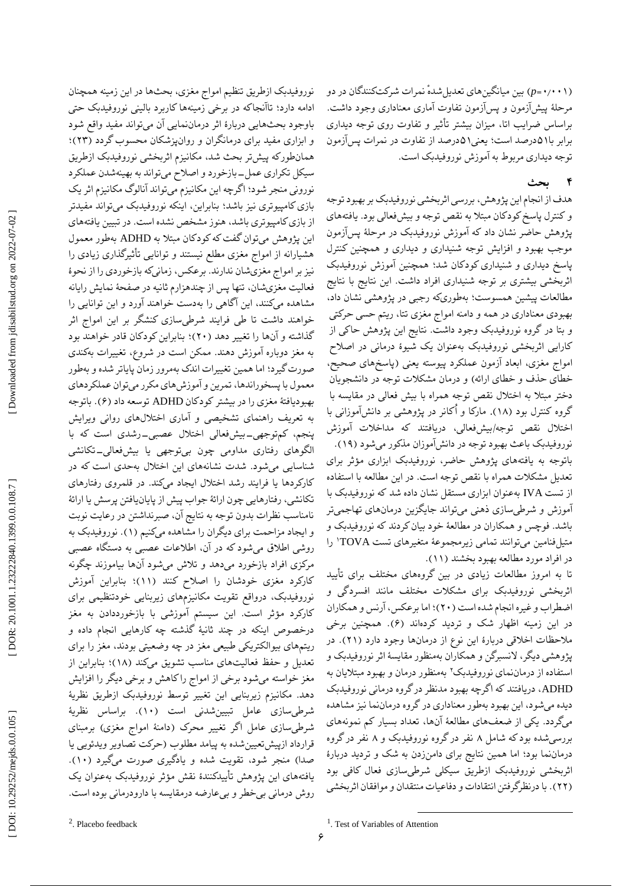<sup>2</sup>. Placebo feedback

*p* )بین میانگینهای تعدیل ٔشده نمرات شرکتکنندگان در دو = ۰ ٫۰۰1 ( مرحلٔه پیشآزمون و پسآزمون تفاوت آماری معناداری وجود داشت. براساس ضرایب اتا، میزان بیشتر تاثیر و تفاوت روی توجه دیداری برابر با۵۱درصد است؛ یعنی۵۱درصد از تفاوت در نمرات پسآزمون<br>توجه دیداری مربوط به آموزش نوروفیدبک است.

#### **بحث 4**

هدف از انجام این پژوهش، بررسی اثربخشی نوروفیدبک بر بهبود توجه و کنترل پاسخ کودکان مبتال به نقص توجه و بیشفعالی بود. یافتههای پژوهش حاضر نشان داد که اموزش نوروفیدبک در مرحلهٔ پس|زمون موجب بهبود و افزایش توجه شنیداری و دیداری و همچنین کنترل پاسخ دیداری و شنیداری کودکان شد؛ همچنین اموزش نوروفیدبک اثربخشی بیشتری بر توجه شنیداری افراد داشت. این نتایج با نتایج<br>مطالعات پیشین همسوست؛ بهطوریکه رجبی در پژوهشی نشان داد، بهبودی معناداری در همه و دامنه امواج مغزی تتا، ریتم حسی حرکتی بتا در گروه نوروفیدبک وجود داشت. نتایج این پژوهش حاکی از و کارایی اثربخشی نوروفیدبک بهعنوان یک شیوهٔ درمانی در اصلاح امواج مغزی، ابعاد آزمون عملکرد پیوسته یعنی )پاسخهای صحیح، خطای حذف و خطای ارائه) و درمان مشکلات توجه در دانشجویان دختر مبتال به اختالل نقص توجه همراه با بیش فعالی در مقایسه با گروه کنترل بود (۱۸). مارکا و اُکانر در پژوهشی بر دانشآموزانی با اختلال نقص توجه/بیشفعالی، دریافتند که مداخلات اموزش نوروفیدبک باعث بهبود توجه در دانش!موزان مذکور میشود (۱۹). باتوجه به یافتههای پژوهش حاضر، نوروفیدبک ابزاری مؤثر برای تعدیل مشکالت همراه با نقص توجه است. در این مطالعه با استفاده از تست IVA بهعنوان ابزاری مستقل نشان داده شد که نوروفیدبک با آموزش و شرطیسازی ذهنی میتواند جایگزین درمانهای تهاجمیتر باشد. فوچس و همکاران در مطالعٔه خود بیان کردند که نوروفیدبک و متیلفنامین میتوانند تمامی زیرمجموعٔه متغیرهای تست TOVA 1 را در افراد مورد مطالعه بهبود بخشند (١١).

تا به امروز مطالعات زیادی در بین گروههای مختلف برای تایید اثربخشی نوروفیدبک برای مشکالت مختلف مانند افسردگی و اضطراب و غیره انجام شده است (۲۰)؛ اما برعکس، ارنس و همکاران در این زمینه اظهار شک و تردید کردهاند (۶). همچنین برخی ملاحظات اخلاقی دربارهٔ این نوع از درمانها وجود دارد (۲۱). در پژوهشی دیگر، النسبرگن و همکاران بهمنظور مقایسٔه اثر نوروفیدبک و استفاده از درماننمای نوروفیدبک٬ بهمنظور درمان و بهبود مبتلایان به ADHD، دریافتند که اگرچه بهبود مدنظر در گروه درمانی نوروفیدبک دیده میشود، این بهبود بهطور معناداری در گروه درماننما نیز مشاهده میگردد. یکی از ضعفهای مطالعهٔ انها، تعداد بسیار کم نمونههای بررسیشده بودکه شامل ۸ نفر درگروه نوروفیدبک و ۸ نفر درگروه درماننما بود؛ اما همین نتایج برای دامنزدن به شک و تردید دربارٔه اثربخشی نوروفیدبک ازطریق سیکلی شرطیسازی فعال کافی بود (۲۲). با درنظرگرفتن انتقادات و دفاعیات منتقدان و موافقان اثربخشی

و ابزاری مفید برای درمانگران و روانپزشکان محسوب گردد (۲۳)؛ همانطورکه پیشتر بحث شد، مکانیزم اثربخشی نوروفیدبک ازطریق سیکل تکراری عمل-بازخورد و اصلاح میتواند به بهینهشدن عملکرد نورونی منجر شود؛ اگرچه این مکانیزم میتواند انالوگ مکانیزم اثر یک بازی کامپیوتری نیز باشد؛ بنابراین، اینکه نوروفیدبک میتواند مفیدتر از بازی کامپیوتری باشد، هنوز مشخص نشده است. در تبیین یافتههای این پژوهش میتوان گفت که کودکان مبتلا به ADHD بهطور معمول هشیارانه از امواج مغزی مطلع نیستند و توانایی تاثیرگذاری زیادی را نیز بر امواج مغزیشان ندارند. برعکس، زمانیکه بازخوردی را از نحوهٔ فعالیت مغزیشان، تنها پس از چندهزارم ثانیه در صفحهٔ نمایش رایانه مشاهده میکنند، این آگاهی را بهدست خواهند آورد و این توانایی را خواهند داشت تا طی فرایند شرطیسازی کنشگر بر این امواج اثر گذاشته و آنها را تغییر دهد (۲۰)؛ بنابراین کودکان قادر خواهند بود به مغز دوباره آموزش دهند. ممکن است در شروع، تغییرات بهکندی صورت گیرد؛ اما همین تغییرات اندک بهمرور زمان پایاتر شده و بهطور معمول با پسخوراندها، تمرین و آموزشهای مکرر میتوان عملکردهای بهبودیافتهٔ مغزی را در بیشتر کودکان ADHD توسعه داد (۶). باتوجه به تعریف راهنمای تشخیصی و آماری اختاللهای روانی ویرایش پنجم، کمتوجهی\_بیشفعالی اختلال عصبی\_رشدی است که با تکانشی الگوهای رفتاری مداومی چون بیتوجهی یا بیشفعالی- شناسایی میشود. شدت نشانههای این اختالل بهحدی است که در کارکردها یا فرایند رشد اختلال ایجاد میکند. در قلمروی رفتارهای تکانشی، رفتارهایی چون ارائٔه جواب پیش از پایانیافتن پرسش یا ارائٔه نامناسب نظرات بدون توجه به نتایج آن، صبرنداشتن در رعایت نوبت و ایجاد مزاحمت برای دیگران را مشاهده میکنیم (۱). نوروفیدبک به روشی اطالق میشود که در آن، اطالعات عصبی به دستگاه عصبی مرکزی افراد بازخورد میدهد و تالش میشود آنها بیاموزند چگونه کارکرد مغزی خودشان را اصلاح کنند (۱۱)؛ بنابراین اموزش نوروفیدبک، درواقع تقویت مکانیزمهای زیربنایی خودتنظیمی برای کارکرد مؤثر است. این سیستم اموزشی با بازخورددادن به مغز درخصوص اینکه در چند ثانیٔه گذشته چه کارهایی انجام داده و ریتمهای بیوالکتریکی طبیعی مغز در چه وضعیتی بودند، مغز را برای تعدیل و حفظ فعالیتهای مناسب تشویق میکند (۱۸)؛ بنابراین از مغز خواسته میشود برخی از امواج را کاهش و برخی دیگر را افزایش دهد. مکانیزم زیربنایی این تغییر توسط نوروفیدبک ازطریق نظریهٔ شرطیسازی عامل تبیینشدنی است (۱۰). براساس نظریهٔ شرطیسازی عامل اگر تغییر محرک (دامنهٔ امواج مغزی) برمبنای قرارداد ازپیشتعیین شده به پیامد مطلوب (حرکت تصاویر ویدئویی یا صدا) منجر شود، تقویت شده و یادگیری صورت میگیرد (۱۰). یافتههای این پژوهش تاییدکنندهٔ نقش مؤثر نوروفیدبک بهعنوان یک 2 روش درمانی بیخطر و بیعارضه درمقایسه با دارودرمانی بوده است.

نوروفیدبک ازطریق تنظیم امواج مغزی، بحثها در این زمینه همچنان ادامه دارد؛ تاانجاکه در برخی زمینهها کاربرد بالینی نوروفیدبک حتی وجود بحثهایی دربارٔه اثر درماننمایی آن میتواند مفید واقع شود با

 $\overline{a}$ 

<sup>1</sup> . Test of Variables of Attention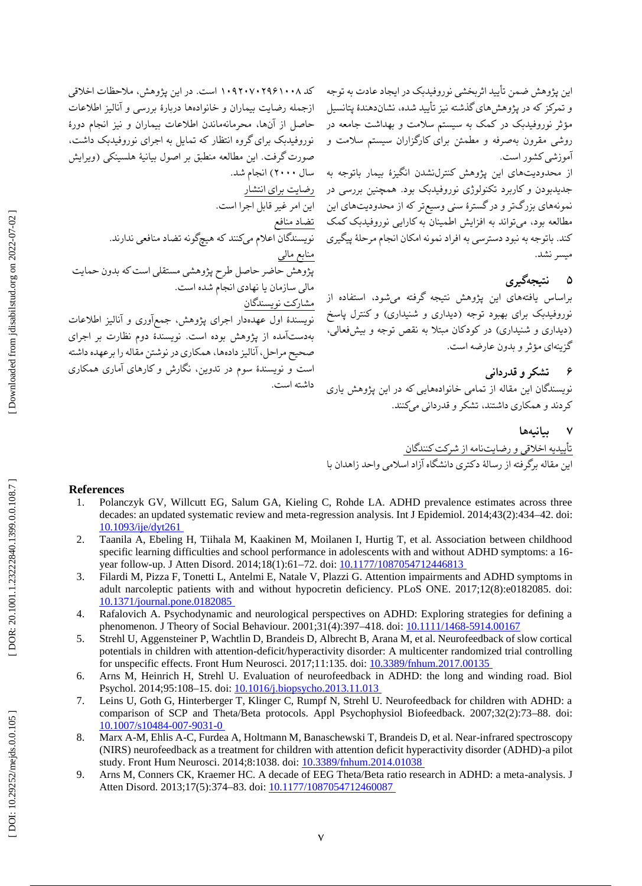این پژوهش ضمن تایید اثربخشی نوروفیدبک در ایجاد عادت به توجه و تمرکز که در پژوهشهای گذشته نیز تایید شده، نشاندهندهٔ پتانسیل مؤثر نوروفیدبک در کمک به سیستم سلامت و بهداشت جامعه در مقرون بهصرفه و مطمئن برای کارگزاران سیستم سالمت و روشی آموزشی کشور است.

از محدودیتهای این پژوهش کنترلنشدن انگیزٔه بیمار باتوجه به انجام شد. ) سال ۲۰۰۰ جدیدبودن و کاربرد تکنولوژی نوروفیدبک بود. همچنین بررسی در نمونههای بزرگتر و در گسترٔه سنی وسیعتر که از محدودیتهای این میتواند به افزایش اطمینان به کارایی نوروفیدبک کمک مطالعه بود، کند. باتوجه به نبود دسترسی به افراد نمونه امکان انجام مرحلهٔ پیگیری میسر نشد.

## **نتیجهگیری ۵**

براساس یافتههای این پژوهش نتیجه گرفته میشود، استفاده از نوروفیدبک برای بهبود توجه (دیداری و شنیداری) و کنترل پاسخ<br>(دیداری و شنیداری) در کودکان مبتلا به نقص توجه و بیشفعالی، گزینهای مؤثر و بدون عارضه است.

**قدردانی تشکر و 6**

نویسندگان این مقاله از تمامی خانوادههایی که در این پژوهش یاری کردند و همکاری داشتند، تشکر و قدردانی میکنند.

> **بیانیهها 7**

تأییدیه اخالقی و رضایتنامه از شرکت کنندگان این مقاله برگرفته از رسالهٔ دکتری دانشگاه ازاد اسلامی واحد زاهدان با

### **References**

کد ۱۰۰۸/۲۹۶۱۰۷۰۲۹ است. در این پژوهش، ملاحظات اخلاقی ازجمله رضایت بیماران و خانوادهها دربارٔه بررسی و آنالیز اطالعات

حاصل از آنها، محرمانهماندن اطلاعات بیماران و نیز انجام دورهٔ<br>نوروفیدبک برای گروه انتظار که تمایل به اجرای نوروفیدبک داشت،

صورت گرفت. این مطالعه منطبق بر اصول بیانیٔه هلسینکی )ویرایش

پژوهش حاضر حاصل طرح پژوهشی مستقلی است که بدون حمایت<br>مالی سازمان یا نهادی انجام شده است.

نویسندٔه اول عهدهدار اجرای پژوهش، جمعآوری و آنالیز اطالعات بهدستآمده از پژوهش بوده است. نویسندٔه دوم نظارت بر اجرای صحیح مراحل، انالیز دادهها، همکاری در نوشتن مقاله را برعهده داشته است و نویسندٔه سوم در تدوین، نگارش و کارهای آماری همکاری

نویسندگان اعالم میکنند که هیچگونه تضاد منافعی ندارند.

رضایت برای انتشار

مشارکت نویسندگان

داشته است.

تضاد منافع

منابع مالی

این امر غیر قابل اجرا است.

- 1. Polanczyk GV, Willcutt EG, Salum GA, Kieling C, Rohde LA. ADHD prevalence estimates across three decades: an updated systematic review and meta -regression analysis. Int J Epidemiol. 2014;43(2):434 –42. doi: [10.1093/ije/dyt261](https://doi.org/10.1093/ije/dyt261)
- $\mathcal{P}$ . Taanila A, Ebeling H, Tiihala M, Kaakinen M, Moilanen I, Hurtig T, et al. Association between childhood specific learning difficulties and school performance in adolescents with and without ADHD symptoms: a 16 year follow-up. J Atten Disord. 2014;18(1):61–72. doi: 10.1177/1087054712446813
- 3 . Filardi M, Pizza F, Tonetti L, Antelmi E, Natale V, Plazzi G. Attention impairments and ADHD symptoms in adult narcoleptic patients with and without hypocretin deficiency. PLoS ONE. 2017;12(8):e0182085. doi: [10.1371/journal.pone.0182085](https://doi.org/10.1371/journal.pone.0182085)
- 4 . Rafalovich A. Psychodynamic and neurological perspectives on ADHD: Exploring strategies for defining a phenomenon. J Theory of Social Behaviour. 2001;31(4):397–418. doi: <u>10.1111/1468-5914.0016</u>7
- 5 . Strehl U, Aggensteiner P, Wachtlin D, Brandeis D, Albrecht B, Arana M, et al. Neurofeedback of slow cortical potentials in children with attention -deficit/hyperactivity disorder: A multicenter randomized trial controlling for unspecific effects. Front Hum Neurosci. 2017;11:135. doi: [10.3389/fnhum.2017.00135](https://doi.org/10.3389/fnhum.2017.00135)
- 6 . Arns M, Heinrich H, Strehl U. Evaluation of neurofeedback in ADHD: the long and winding road. Biol Psychol. 2014;95:108-15. doi: 10.1016/j.biopsycho.2013.11.013
- 7 . Leins U, Goth G, Hinterberger T, Klinger C, Rumpf N, Strehl U. Neurofeedback for children with ADHD: a comparison of SCP and Theta/Beta protocols. Appl Psychophysiol Biofeedback. 2007;32(2):73 –88. doi: [10.1007/s10484](https://doi.org/10.1007/s10484-007-9031-0) -007 -9031 -0
- 8 . Marx A -M, Ehlis A -C, Furdea A, Holtmann M, Banaschewski T, Brandeis D, et al. Near -infrared spectroscopy (NIRS) neurofeedback as a treatment for children with attention deficit hyperactivity disorder (ADHD) -a pilot study. Front Hum Neurosci. 2014;8:1038. doi: [10.3389/fnhum.2014.01038](https://doi.org/10.3389/fnhum.2014.01038)
- 9. . Arns M, Conners CK, Kraemer HC. A decade of EEG Theta/Beta ratio research in ADHD: a meta -analysis. J Atten Disord. 2013;17(5):374–83. doi: 10.1177/1087054712460087